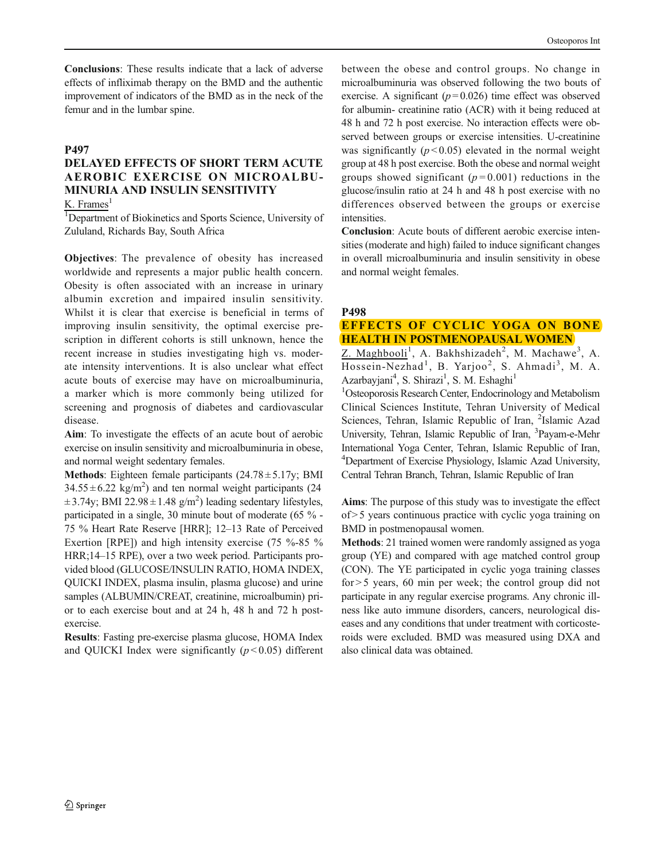Conclusions: These results indicate that a lack of adverse effects of infliximab therapy on the BMD and the authentic improvement of indicators of the BMD as in the neck of the femur and in the lumbar spine.

#### P497

# DELAYED EFFECTS OF SHORT TERM ACUTE AEROBIC EXERCISE ON MICROALBU-MINURIA AND INSULIN SENSITIVITY

 $K.$  Frames<sup>1</sup>

<sup>1</sup>Department of Biokinetics and Sports Science, University of Zululand, Richards Bay, South Africa

Objectives: The prevalence of obesity has increased worldwide and represents a major public health concern. Obesity is often associated with an increase in urinary albumin excretion and impaired insulin sensitivity. Whilst it is clear that exercise is beneficial in terms of improving insulin sensitivity, the optimal exercise prescription in different cohorts is still unknown, hence the recent increase in studies investigating high vs. moderate intensity interventions. It is also unclear what effect acute bouts of exercise may have on microalbuminuria, a marker which is more commonly being utilized for screening and prognosis of diabetes and cardiovascular disease.

Aim: To investigate the effects of an acute bout of aerobic exercise on insulin sensitivity and microalbuminuria in obese, and normal weight sedentary females.

**Methods:** Eighteen female participants  $(24.78 \pm 5.17)$ ; BMI  $34.55 \pm 6.22$  kg/m<sup>2</sup>) and ten normal weight participants (24  $\pm$  3.74y; BMI 22.98 $\pm$ 1.48 g/m<sup>2</sup>) leading sedentary lifestyles, participated in a single, 30 minute bout of moderate (65 % - 75 % Heart Rate Reserve [HRR]; 12–13 Rate of Perceived Exertion [RPE]) and high intensity exercise (75 %-85 % HRR;14–15 RPE), over a two week period. Participants provided blood (GLUCOSE/INSULIN RATIO, HOMA INDEX, QUICKI INDEX, plasma insulin, plasma glucose) and urine samples (ALBUMIN/CREAT, creatinine, microalbumin) prior to each exercise bout and at 24 h, 48 h and 72 h postexercise.

Results: Fasting pre-exercise plasma glucose, HOMA Index and QUICKI Index were significantly  $(p < 0.05)$  different between the obese and control groups. No change in microalbuminuria was observed following the two bouts of exercise. A significant  $(p=0.026)$  time effect was observed for albumin- creatinine ratio (ACR) with it being reduced at 48 h and 72 h post exercise. No interaction effects were observed between groups or exercise intensities. U-creatinine was significantly  $(p<0.05)$  elevated in the normal weight group at 48 h post exercise. Both the obese and normal weight groups showed significant ( $p = 0.001$ ) reductions in the glucose/insulin ratio at 24 h and 48 h post exercise with no differences observed between the groups or exercise intensities.

Conclusion: Acute bouts of different aerobic exercise intensities (moderate and high) failed to induce significant changes in overall microalbuminuria and insulin sensitivity in obese and normal weight females.

#### P498

## EFFECTS OF CYCLIC YOGA ON BONE HEALTH IN POSTMENOPAUSAL WOMEN

Z. Maghbooli<sup>1</sup>, A. Bakhshizadeh<sup>2</sup>, M. Machawe<sup>3</sup>, A. Hossein-Nezhad<sup>1</sup>, B. Yarjoo<sup>2</sup>, S. Ahmadi<sup>3</sup>, M. A. Azarbayjani<sup>4</sup>, S. Shirazi<sup>1</sup>, S. M. Eshaghi<sup>1</sup>

<sup>1</sup>Osteoporosis Research Center, Endocrinology and Metabolism Clinical Sciences Institute, Tehran University of Medical Sciences, Tehran, Islamic Republic of Iran, <sup>2</sup>Islamic Azad University, Tehran, Islamic Republic of Iran, <sup>3</sup>Payam-e-Mehr International Yoga Center, Tehran, Islamic Republic of Iran, 4 Department of Exercise Physiology, Islamic Azad University, Central Tehran Branch, Tehran, Islamic Republic of Iran

Aims: The purpose of this study was to investigate the effect of > 5 years continuous practice with cyclic yoga training on BMD in postmenopausal women.

Methods: 21 trained women were randomly assigned as yoga group (YE) and compared with age matched control group (CON). The YE participated in cyclic yoga training classes for > 5 years, 60 min per week; the control group did not participate in any regular exercise programs. Any chronic illness like auto immune disorders, cancers, neurological diseases and any conditions that under treatment with corticosteroids were excluded. BMD was measured using DXA and also clinical data was obtained.